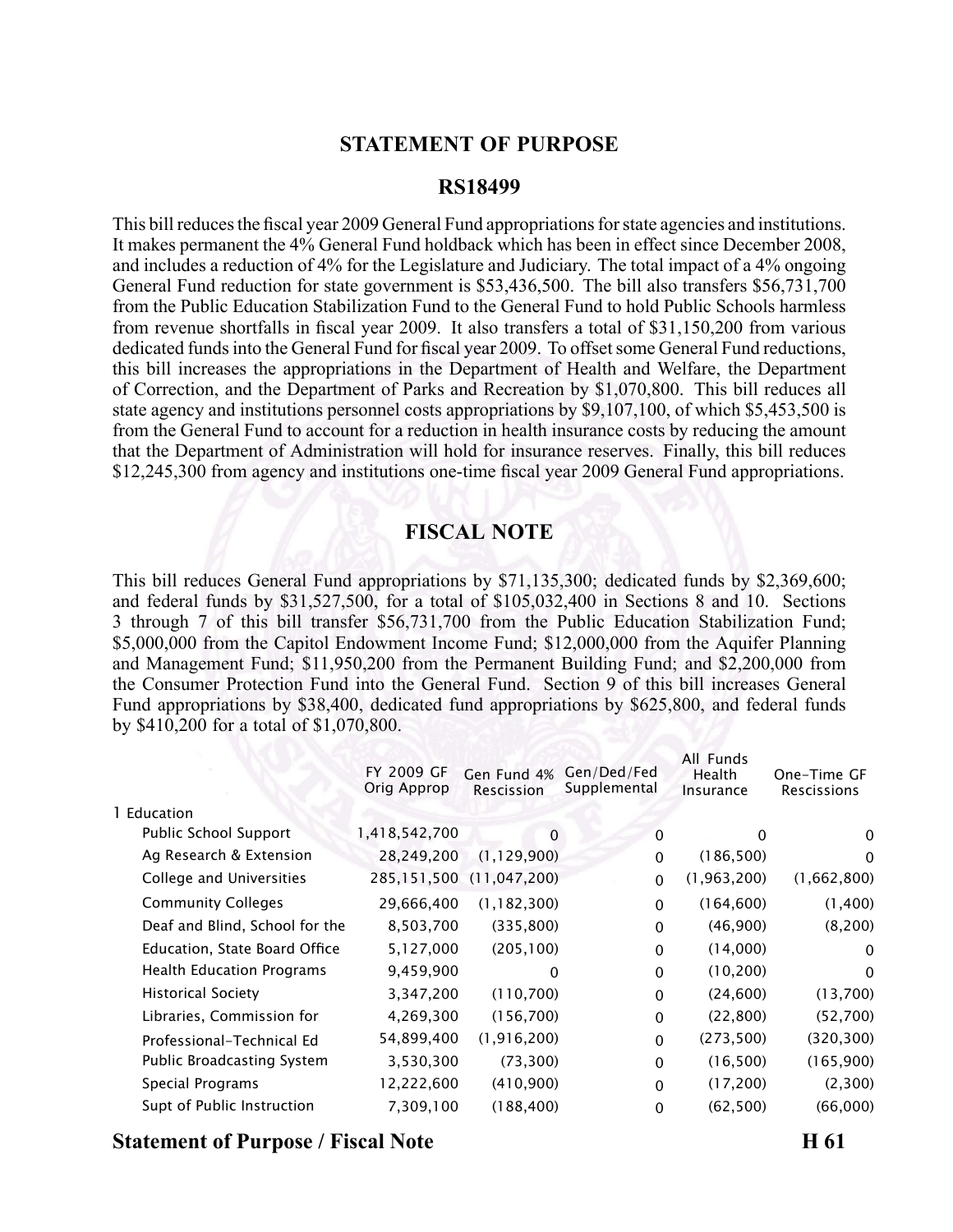### **STATEMENT OF PURPOSE**

#### **RS18499**

This bill reduces the fiscal year 2009 General Fund appropriations for state agencies and institutions. It makes permanen<sup>t</sup> the 4% General Fund holdback which has been in effect since December 2008, and includes <sup>a</sup> reduction of 4% for the Legislature and Judiciary. The total impact of <sup>a</sup> 4% ongoing General Fund reduction for state governmen<sup>t</sup> is \$53,436,500. The bill also transfers \$56,731,700 from the Public Education Stabilization Fund to the General Fund to hold Public Schools harmless from revenue shortfalls in fiscal year 2009. It also transfers <sup>a</sup> total of \$31,150,200 from various dedicated funds into the General Fund for fiscal year 2009. To offset some General Fund reductions, this bill increases the appropriations in the Department of Health and Welfare, the Department of Correction, and the Department of Parks and Recreation by \$1,070,800. This bill reduces all state agency and institutions personnel costs appropriations by \$9,107,100, of which \$5,453,500 is from the General Fund to account for <sup>a</sup> reduction in health insurance costs by reducing the amount that the Department of Administration will hold for insurance reserves. Finally, this bill reduces \$12,245,300 from agency and institutions one-time fiscal year 2009 General Fund appropriations.

#### **FISCAL NOTE**

This bill reduces General Fund appropriations by \$71,135,300; dedicated funds by \$2,369,600; and federal funds by \$31,527,500, for <sup>a</sup> total of \$105,032,400 in Sections 8 and 10. Sections 3 through 7 of this bill transfer \$56,731,700 from the Public Education Stabilization Fund; \$5,000,000 from the Capitol Endowment Income Fund; \$12,000,000 from the Aquifer Planning and Management Fund; \$11,950,200 from the Permanent Building Fund; and \$2,200,000 from the Consumer Protection Fund into the General Fund. Section 9 of this bill increases General Fund appropriations by \$38,400, dedicated fund appropriations by \$625,800, and federal funds by \$410,200 for <sup>a</sup> total of \$1,070,800.

|                                  | FY 2009 GF<br>Orig Approp | Gen Fund 4%<br>Rescission | Gen/Ded/Fed<br>Supplemental | All Funds<br>Health<br>Insurance | One-Time GF<br>Rescissions |
|----------------------------------|---------------------------|---------------------------|-----------------------------|----------------------------------|----------------------------|
| 1 Education                      |                           |                           |                             |                                  |                            |
| Public School Support            | 1,418,542,700             | 0                         | 0                           | 0                                | 0                          |
| Ag Research & Extension          | 28,249,200                | (1, 129, 900)             | $\mathbf{0}$                | (186, 500)                       | 0                          |
| College and Universities         | 285,151,500               | (11, 047, 200)            | $\mathbf{0}$                | (1,963,200)                      | (1,662,800)                |
| <b>Community Colleges</b>        | 29,666,400                | (1, 182, 300)             | $\Omega$                    | (164, 600)                       | (1,400)                    |
| Deaf and Blind, School for the   | 8,503,700                 | (335, 800)                | $\mathbf{0}$                | (46,900)                         | (8,200)                    |
| Education, State Board Office    | 5,127,000                 | (205, 100)                | $\mathbf{0}$                | (14,000)                         | $\mathbf{0}$               |
| <b>Health Education Programs</b> | 9,459,900                 | $\Omega$                  | $\Omega$                    | (10, 200)                        | $\Omega$                   |
| <b>Historical Society</b>        | 3,347,200                 | (110,700)                 | $\mathbf{0}$                | (24,600)                         | (13,700)                   |
| Libraries, Commission for        | 4,269,300                 | (156, 700)                | $\mathbf{0}$                | (22, 800)                        | (52,700)                   |
| Professional-Technical Ed        | 54,899,400                | (1, 916, 200)             | $\Omega$                    | (273, 500)                       | (320, 300)                 |
| Public Broadcasting System       | 3,530,300                 | (73, 300)                 | $\Omega$                    | (16, 500)                        | (165,900)                  |
| Special Programs                 | 12,222,600                | (410,900)                 | $\Omega$                    | (17,200)                         | (2,300)                    |
| Supt of Public Instruction       | 7,309,100                 | (188, 400)                | $\mathbf{0}$                | (62, 500)                        | (66,000)                   |
|                                  |                           |                           |                             |                                  |                            |

### **Statement of Purpose / Fiscal Note H 61**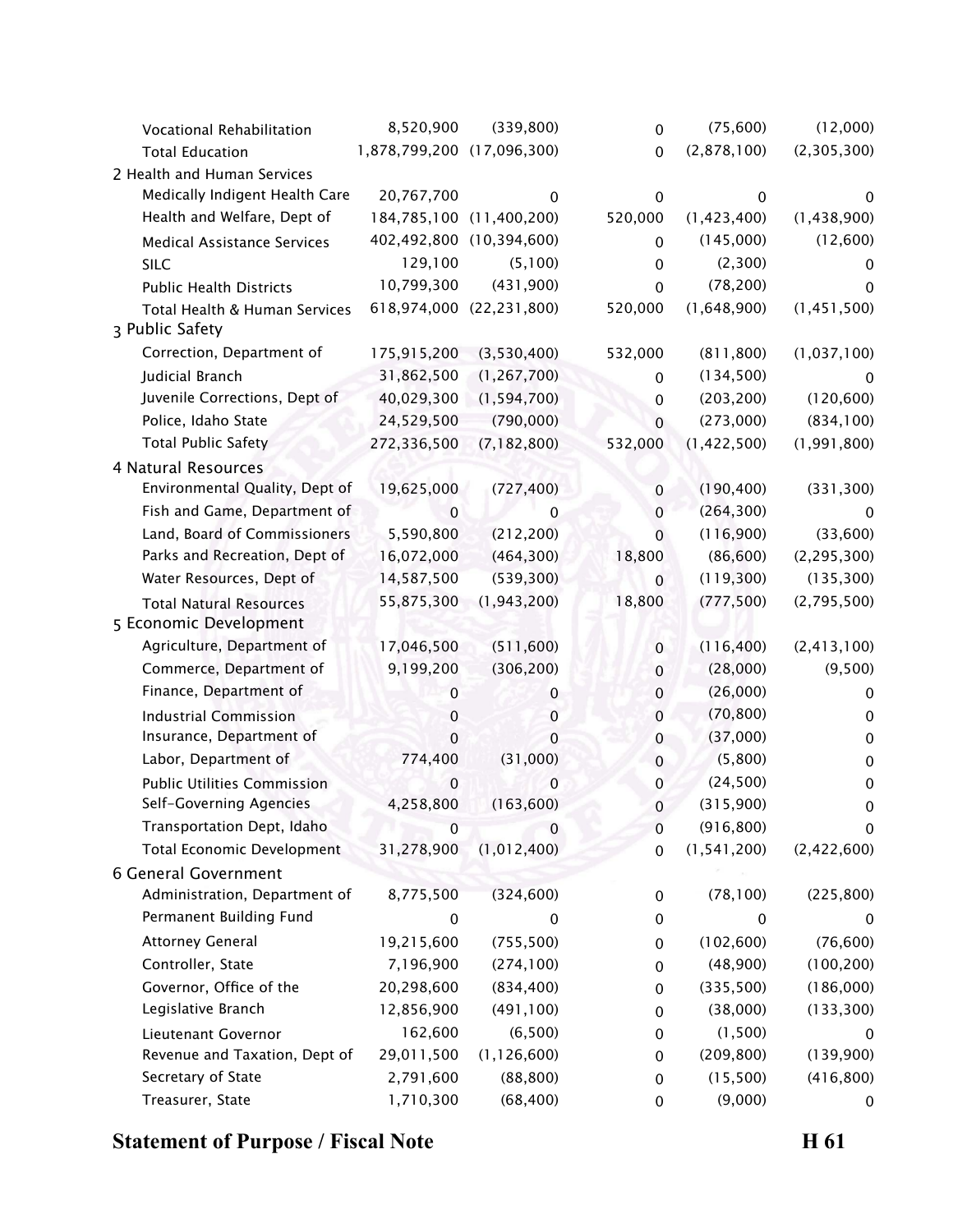| Vocational Rehabilitation          | 8,520,900                  | (339, 800)               | $\mathbf 0$ | (75,600)      | (12,000)      |
|------------------------------------|----------------------------|--------------------------|-------------|---------------|---------------|
| <b>Total Education</b>             | 1,878,799,200 (17,096,300) |                          | $\mathbf 0$ | (2,878,100)   | (2,305,300)   |
| 2 Health and Human Services        |                            |                          |             |               |               |
| Medically Indigent Health Care     | 20,767,700                 | $\mathbf 0$              | 0           | 0             | 0             |
| Health and Welfare, Dept of        |                            | 184,785,100 (11,400,200) | 520,000     | (1,423,400)   | (1,438,900)   |
| <b>Medical Assistance Services</b> |                            | 402,492,800 (10,394,600) | $\mathbf 0$ | (145,000)     | (12,600)      |
| SILC                               | 129,100                    | (5,100)                  | 0           | (2,300)       | 0             |
| <b>Public Health Districts</b>     | 10,799,300                 | (431,900)                | $\mathbf 0$ | (78, 200)     | 0             |
| Total Health & Human Services      |                            | 618,974,000 (22,231,800) | 520,000     | (1,648,900)   | (1, 451, 500) |
| 3 Public Safety                    |                            |                          |             |               |               |
| Correction, Department of          | 175,915,200                | (3,530,400)              | 532,000     | (811, 800)    | (1,037,100)   |
| Judicial Branch                    | 31,862,500                 | (1, 267, 700)            | 0           | (134,500)     | 0             |
| Juvenile Corrections, Dept of      | 40,029,300                 | (1, 594, 700)            | $\mathbf 0$ | (203, 200)    | (120, 600)    |
| Police, Idaho State                | 24,529,500                 | (790,000)                | $\mathbf 0$ | (273,000)     | (834, 100)    |
| <b>Total Public Safety</b>         | 272,336,500                | (7, 182, 800)            | 532,000     | (1,422,500)   | (1, 991, 800) |
| 4 Natural Resources                |                            |                          |             |               |               |
| Environmental Quality, Dept of     | 19,625,000                 | (727, 400)               | $\pmb{0}$   | (190, 400)    | (331, 300)    |
| Fish and Game, Department of       | 0                          | 0                        | 0           | (264, 300)    | 0             |
| Land, Board of Commissioners       | 5,590,800                  | (212, 200)               | $\mathbf 0$ | (116,900)     | (33,600)      |
| Parks and Recreation, Dept of      | 16,072,000                 | (464, 300)               | 18,800      | (86, 600)     | (2, 295, 300) |
| Water Resources, Dept of           | 14,587,500                 | (539, 300)               | $\mathbf 0$ | (119,300)     | (135, 300)    |
| <b>Total Natural Resources</b>     | 55,875,300                 | (1, 943, 200)            | 18,800      | (777, 500)    | (2,795,500)   |
| 5 Economic Development             |                            |                          |             |               |               |
| Agriculture, Department of         | 17,046,500                 | (511,600)                | $\mathbf 0$ | (116, 400)    | (2, 413, 100) |
| Commerce, Department of            | 9,199,200                  | (306, 200)               | $\mathbf 0$ | (28,000)      | (9,500)       |
| Finance, Department of             | 0                          | 0                        | $\pmb{0}$   | (26,000)      | 0             |
| <b>Industrial Commission</b>       | 0                          | 0                        | 0           | (70, 800)     | 0             |
| Insurance, Department of           | $\mathbf 0$                | $\mathbf 0$              | $\pmb{0}$   | (37,000)      | $\pmb{0}$     |
| Labor, Department of               | 774,400                    | (31,000)                 | $\pmb{0}$   | (5,800)       | $\pmb{0}$     |
| <b>Public Utilities Commission</b> | 0                          | 0                        | $\pmb{0}$   | (24, 500)     | $\pmb{0}$     |
| Self-Governing Agencies            | 4,258,800                  | (163, 600)               | $\pmb{0}$   | (315,900)     | $\pmb{0}$     |
| Transportation Dept, Idaho         | 0                          | $\mathbf 0$              | $\pmb{0}$   | (916, 800)    | 0             |
| <b>Total Economic Development</b>  | 31,278,900                 | (1,012,400)              | $\pmb{0}$   | (1, 541, 200) | (2,422,600)   |
| 6 General Government               |                            |                          |             |               |               |
| Administration, Department of      | 8,775,500                  | (324, 600)               | 0           | (78, 100)     | (225, 800)    |
| Permanent Building Fund            | $\mathbf 0$                | 0                        | 0           | $\mathbf 0$   | 0             |
| <b>Attorney General</b>            | 19,215,600                 | (755, 500)               | 0           | (102, 600)    | (76, 600)     |
| Controller, State                  | 7,196,900                  | (274, 100)               | 0           | (48,900)      | (100, 200)    |
| Governor, Office of the            | 20,298,600                 | (834, 400)               | 0           | (335,500)     | (186,000)     |
| Legislative Branch                 | 12,856,900                 | (491, 100)               | 0           | (38,000)      | (133, 300)    |
| Lieutenant Governor                | 162,600                    | (6,500)                  | 0           | (1,500)       | 0             |
| Revenue and Taxation, Dept of      | 29,011,500                 | (1, 126, 600)            | $\mathbf 0$ | (209, 800)    | (139,900)     |
| Secretary of State                 | 2,791,600                  | (88, 800)                | 0           | (15,500)      | (416, 800)    |
| Treasurer, State                   | 1,710,300                  | (68, 400)                | $\pmb{0}$   | (9,000)       | 0             |

# **Statement of Purpose / Fiscal Note H 61**